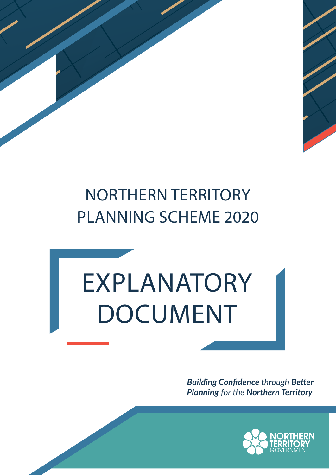# NORTHERN TERRITORY PLANNING SCHEME 2020

# EXPLANATORY DOCUMENT

*Building Confidence through Better Planning for the Northern Territory*

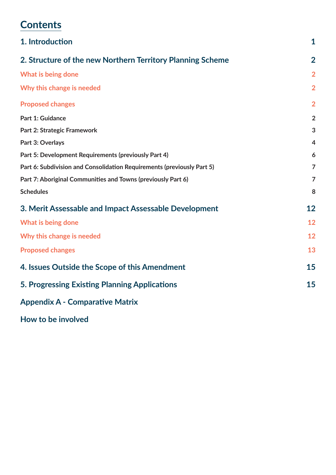# **Contents**

| 1. Introduction                                                        | $\mathbf 1$    |
|------------------------------------------------------------------------|----------------|
| 2. Structure of the new Northern Territory Planning Scheme             | $\overline{2}$ |
| What is being done                                                     | $\overline{2}$ |
| Why this change is needed                                              | $\overline{2}$ |
| <b>Proposed changes</b>                                                | $\overline{2}$ |
| <b>Part 1: Guidance</b>                                                | $\overline{2}$ |
| Part 2: Strategic Framework                                            | 3              |
| Part 3: Overlays                                                       | $\overline{4}$ |
| Part 5: Development Requirements (previously Part 4)                   | 6              |
| Part 6: Subdivision and Consolidation Requirements (previously Part 5) | $\overline{7}$ |
| Part 7: Aboriginal Communities and Towns (previously Part 6)           | $\overline{7}$ |
| <b>Schedules</b>                                                       | 8              |
| 3. Merit Assessable and Impact Assessable Development                  | 12             |
| What is being done                                                     | 12             |
| Why this change is needed                                              | 12             |
| <b>Proposed changes</b>                                                | 13             |
| 4. Issues Outside the Scope of this Amendment                          | 15             |
| 5. Progressing Existing Planning Applications                          | 15             |
| <b>Appendix A - Comparative Matrix</b>                                 |                |

**How to be involved**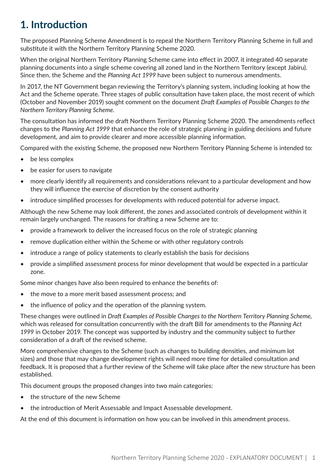# **1. Introduction**

The proposed Planning Scheme Amendment is to repeal the Northern Territory Planning Scheme in full and substitute it with the Northern Territory Planning Scheme 2020.

When the original Northern Territory Planning Scheme came into effect in 2007, it integrated 40 separate planning documents into a single scheme covering all zoned land in the Northern Territory (except Jabiru). Since then, the Scheme and the *Planning Act 1999* have been subject to numerous amendments.

In 2017, the NT Government began reviewing the Territory's planning system, including looking at how the Act and the Scheme operate. Three stages of public consultation have taken place, the most recent of which (October and November 2019) sought comment on the document *Draft Examples of Possible Changes to the Northern Territory Planning Scheme.*

The consultation has informed the draft Northern Territory Planning Scheme 2020. The amendments reflect changes to the *Planning Act 1999* that enhance the role of strategic planning in guiding decisions and future development, and aim to provide clearer and more accessible planning information.

Compared with the existing Scheme, the proposed new Northern Territory Planning Scheme is intended to:

- be less complex
- be easier for users to navigate
- more clearly identify all requirements and considerations relevant to a particular development and how they will influence the exercise of discretion by the consent authority
- introduce simplified processes for developments with reduced potential for adverse impact.

Although the new Scheme may look different, the zones and associated controls of development within it remain largely unchanged. The reasons for drafting a new Scheme are to:

- provide a framework to deliver the increased focus on the role of strategic planning
- remove duplication either within the Scheme or with other regulatory controls
- introduce a range of policy statements to clearly establish the basis for decisions
- provide a simplified assessment process for minor development that would be expected in a particular zone.

Some minor changes have also been required to enhance the benefits of:

- the move to a more merit based assessment process; and
- the influence of policy and the operation of the planning system.

These changes were outlined in *Draft Examples of Possible Changes to the Northern Territory Planning Scheme,* which was released for consultation concurrently with the draft Bill for amendments to the *Planning Act 1999* in October 2019. The concept was supported by industry and the community subject to further consideration of a draft of the revised scheme.

More comprehensive changes to the Scheme (such as changes to building densities, and minimum lot sizes) and those that may change development rights will need more time for detailed consultation and feedback. It is proposed that a further review of the Scheme will take place after the new structure has been established.

This document groups the proposed changes into two main categories:

- the structure of the new Scheme
- the introduction of Merit Assessable and Impact Assessable development.

At the end of this document is information on how you can be involved in this amendment process.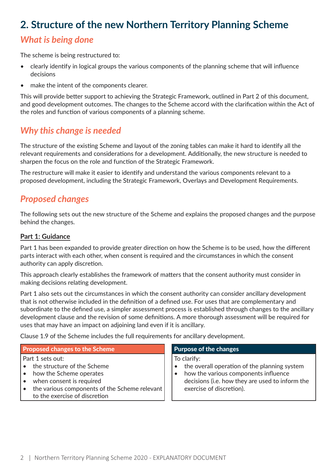# **2. Structure of the new Northern Territory Planning Scheme**

# *What is being done*

The scheme is being restructured to:

- clearly identify in logical groups the various components of the planning scheme that will influence decisions
- make the intent of the components clearer.

This will provide better support to achieving the Strategic Framework, outlined in Part 2 of this document, and good development outcomes. The changes to the Scheme accord with the clarification within the Act of the roles and function of various components of a planning scheme.

# *Why this change is needed*

The structure of the existing Scheme and layout of the zoning tables can make it hard to identify all the relevant requirements and considerations for a development. Additionally, the new structure is needed to sharpen the focus on the role and function of the Strategic Framework.

The restructure will make it easier to identify and understand the various components relevant to a proposed development, including the Strategic Framework, Overlays and Development Requirements.

## *Proposed changes*

The following sets out the new structure of the Scheme and explains the proposed changes and the purpose behind the changes.

### **Part 1: Guidance**

Part 1 has been expanded to provide greater direction on how the Scheme is to be used, how the different parts interact with each other, when consent is required and the circumstances in which the consent authority can apply discretion.

This approach clearly establishes the framework of matters that the consent authority must consider in making decisions relating development.

Part 1 also sets out the circumstances in which the consent authority can consider ancillary development that is not otherwise included in the definition of a defined use. For uses that are complementary and subordinate to the defined use, a simpler assessment process is established through changes to the ancillary development clause and the revision of some definitions. A more thorough assessment will be required for uses that may have an impact on adjoining land even if it is ancillary.

Clause 1.9 of the Scheme includes the full requirements for ancillary development.

### Proposed changes to the Scheme Purpose of the changes

### Part 1 sets out:

- the structure of the Scheme
- how the Scheme operates
- when consent is required
- the various components of the Scheme relevant to the exercise of discretion

To clarify:

- the overall operation of the planning system
- how the various components influence decisions (i.e. how they are used to inform the exercise of discretion).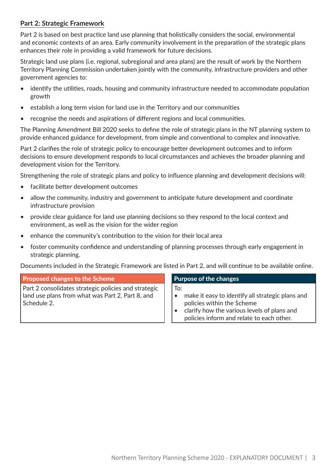### **Part 2: Strategic Framework**

Part 2 is based on best practice land use planning that holistically considers the social, environmental and economic contexts of an area. Early community involvement in the preparation of the strategic plans enhances their role in providing a valid framework for future decisions.

Strategic land use plans (i.e. regional, subregional and area plans) are the result of work by the Northern Territory Planning Commission undertaken jointly with the community, infrastructure providers and other government agencies to:

- identify the utilities, roads, housing and community infrastructure needed to accommodate population growth
- establish a long term vision for land use in the Territory and our communities
- recognise the needs and aspirations of different regions and local communities.

The Planning Amendment Bill 2020 seeks to define the role of strategic plans in the NT planning system to provide enhanced guidance for development, from simple and conventional to complex and innovative.

Part 2 clarifies the role of strategic policy to encourage better development outcomes and to inform decisions to ensure development responds to local circumstances and achieves the broader planning and development vision for the Territory.

Strengthening the role of strategic plans and policy to influence planning and development decisions will:

- facilitate better development outcomes
- allow the community, industry and government to anticipate future development and coordinate infrastructure provision
- provide clear guidance for land use planning decisions so they respond to the local context and environment, as well as the vision for the wider region
- enhance the community's contribution to the vision for their local area
- foster community confidence and understanding of planning processes through early engagement in strategic planning.

Documents included in the Strategic Framework are listed in Part 2, and will continue to be available online.

| <b>Proposed changes to the Scheme</b>                                                                                   | <b>Purpose of the changes</b>                                                                                                                                                     |
|-------------------------------------------------------------------------------------------------------------------------|-----------------------------------------------------------------------------------------------------------------------------------------------------------------------------------|
| Part 2 consolidates strategic policies and strategic<br>land use plans from what was Part 2, Part 8, and<br>Schedule 2. | To:<br>make it easy to identify all strategic plans and<br>policies within the Scheme<br>clarify how the various levels of plans and<br>policies inform and relate to each other. |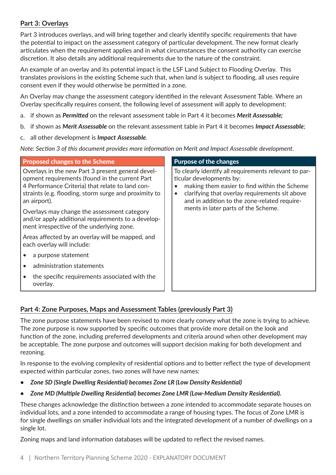### **Part 3: Overlays**

Part 3 introduces overlays, and will bring together and clearly identify specific requirements that have the potential to impact on the assessment category of particular development. The new format clearly articulates when the requirement applies and in what circumstances the consent authority can exercise discretion. It also details any additional requirements due to the nature of the constraint.

An example of an overlay and its potential impact is the LSF Land Subject to Flooding Overlay. This translates provisions in the existing Scheme such that, when land is subject to flooding, all uses require consent even if they would otherwise be permitted in a zone.

An Overlay may change the assessment category identified in the relevant Assessment Table. Where an Overlay specifically requires consent, the following level of assessment will apply to development:

- a. if shown as *Permitted* on the relevant assessment table in Part 4 it becomes *Merit Assessable;*
- b. if shown as *Merit Assessable* on the relevant assessment table in Part 4 it becomes *Impact Assessable*;
- c. all other development is *Impact Assessable*.

*Note: Section 3 of this document provides more information on Merit and Impact Assessable development.* 

| <b>Proposed changes to the Scheme</b>                                                                                                                                                                                            | <b>Purpose of the changes</b>                                                                                                                                                                                                       |
|----------------------------------------------------------------------------------------------------------------------------------------------------------------------------------------------------------------------------------|-------------------------------------------------------------------------------------------------------------------------------------------------------------------------------------------------------------------------------------|
| Overlays in the new Part 3 present general devel-<br>opment requirements (found in the current Part<br>4 Performance Criteria) that relate to land con-<br>straints (e.g. flooding, storm surge and proximity to<br>an airport). | To clearly identify all requirements relevant to par-<br>ticular developments by:<br>making them easier to find within the Scheme<br>clarifying that overlay requirements sit above<br>and in addition to the zone-related require- |
| Overlays may change the assessment category<br>and/or apply additional requirements to a develop-<br>ment irrespective of the underlying zone.                                                                                   | ments in later parts of the Scheme.                                                                                                                                                                                                 |
| Areas affected by an overlay will be mapped, and<br>each overlay will include:                                                                                                                                                   |                                                                                                                                                                                                                                     |
| a purpose statement                                                                                                                                                                                                              |                                                                                                                                                                                                                                     |
| administration statements                                                                                                                                                                                                        |                                                                                                                                                                                                                                     |
| the specific requirements associated with the<br>overlay.                                                                                                                                                                        |                                                                                                                                                                                                                                     |

### **Part 4: Zone Purposes, Maps and Assessment Tables (previously Part 3)**

The zone purpose statements have been revised to more clearly convey what the zone is trying to achieve. The zone purpose is now supported by specific outcomes that provide more detail on the look and function of the zone, including preferred developments and criteria around when other development may be acceptable. The zone purpose and outcomes will support decision making for both development and rezoning.

In response to the evolving complexity of residential options and to better reflect the type of development expected within particular zones, two zones will have new names:

- *• Zone SD (Single Dwelling Residential) becomes Zone LR (Low Density Residential)*
- *• Zone MD (Multiple Dwelling Residential) becomes Zone LMR (Low-Medium Density Residential).*

These changes acknowledge the distinction between a zone intended to accommodate separate houses on individual lots, and a zone intended to accommodate a range of housing types. The focus of Zone LMR is for single dwellings on smaller individual lots and the integrated development of a number of dwellings on a single lot.

Zoning maps and land information databases will be updated to reflect the revised names.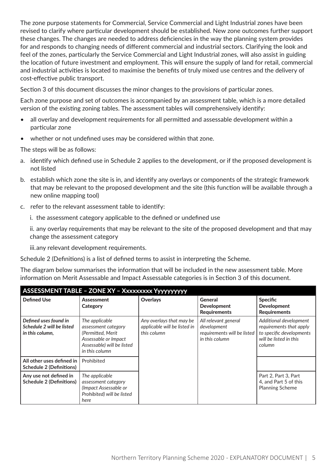The zone purpose statements for Commercial, Service Commercial and Light Industrial zones have been revised to clarify where particular development should be established. New zone outcomes further support these changes. The changes are needed to address deficiencies in the way the planning system provides for and responds to changing needs of different commercial and industrial sectors. Clarifying the look and feel of the zones, particularly the Service Commercial and Light Industrial zones, will also assist in guiding the location of future investment and employment. This will ensure the supply of land for retail, commercial and industrial activities is located to maximise the benefits of truly mixed use centres and the delivery of cost-effective public transport.

Section 3 of this document discusses the minor changes to the provisions of particular zones.

Each zone purpose and set of outcomes is accompanied by an assessment table, which is a more detailed version of the existing zoning tables. The assessment tables will comprehensively identify:

- all overlay and development requirements for all permitted and assessable development within a particular zone
- whether or not undefined uses may be considered within that zone.

The steps will be as follows:

- a. identify which defined use in Schedule 2 applies to the development, or if the proposed development is not listed
- b. establish which zone the site is in, and identify any overlays or components of the strategic framework that may be relevant to the proposed development and the site (this function will be available through a new online mapping tool)
- c. refer to the relevant assessment table to identify:

i. the assessment category applicable to the defined or undefined use

ii. any overlay requirements that may be relevant to the site of the proposed development and that may change the assessment category

iii.any relevant development requirements.

Schedule 2 (Definitions) is a list of defined terms to assist in interpreting the Scheme.

The diagram below summarises the information that will be included in the new assessment table. More information on Merit Assessable and Impact Assessable categories is in Section 3 of this document.

### ASSESSMENT TABLE – ZONE XY – Xxxxxxxxx Yyyyyyyyyy

| <b>Defined Use</b>                                                    | Assessment<br>Category                                                                                                             | <b>Overlays</b>                                                         | <b>General</b><br><b>Development</b><br><b>Requirements</b>                          | <b>Specific</b><br><b>Development</b><br><b>Requirements</b>                                                      |
|-----------------------------------------------------------------------|------------------------------------------------------------------------------------------------------------------------------------|-------------------------------------------------------------------------|--------------------------------------------------------------------------------------|-------------------------------------------------------------------------------------------------------------------|
| Defined uses found in<br>Schedule 2 will be listed<br>in this column, | The applicable<br>assessment category<br>(Permitted, Merit<br>Assessable or Impact<br>Assessable) will be listed<br>in this column | Any overlays that may be<br>applicable will be listed in<br>this column | All relevant general<br>development<br>requirements will be listed<br>in this column | Additional development<br>requirements that apply<br>to specific developments<br>will be listed in this<br>column |
| All other uses defined in<br><b>Schedule 2 (Definitions)</b>          | Prohibited                                                                                                                         |                                                                         |                                                                                      |                                                                                                                   |
| Any use not defined in<br><b>Schedule 2 (Definitions)</b>             | The applicable<br>assessment category<br>(Impact Assessable or<br>Prohibited) will be listed<br>here                               |                                                                         |                                                                                      | Part 2, Part 3, Part<br>4, and Part 5 of this<br><b>Planning Scheme</b>                                           |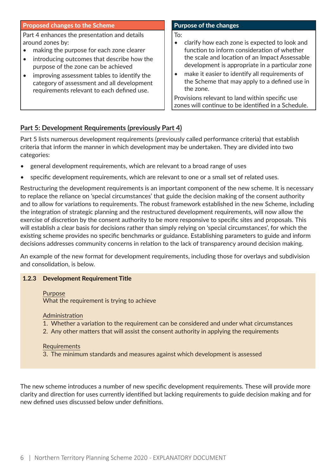### Proposed changes to the Scheme Purpose of the changes

Part 4 enhances the presentation and details around zones by:

- making the purpose for each zone clearer
- introducing outcomes that describe how the purpose of the zone can be achieved
- improving assessment tables to identify the category of assessment and all development requirements relevant to each defined use.

To:

- clarify how each zone is expected to look and function to inform consideration of whether the scale and location of an Impact Assessable development is appropriate in a particular zone
- make it easier to identify all requirements of the Scheme that may apply to a defined use in the zone.

Provisions relevant to land within specific use zones will continue to be identified in a Schedule.

### **Part 5: Development Requirements (previously Part 4)**

Part 5 lists numerous development requirements (previously called performance criteria) that establish criteria that inform the manner in which development may be undertaken. They are divided into two categories:

- general development requirements, which are relevant to a broad range of uses
- specific development requirements, which are relevant to one or a small set of related uses.

Restructuring the development requirements is an important component of the new scheme. It is necessary to replace the reliance on 'special circumstances' that guide the decision making of the consent authority and to allow for variations to requirements. The robust framework established in the new Scheme, including the integration of strategic planning and the restructured development requirements, will now allow the exercise of discretion by the consent authority to be more responsive to specific sites and proposals. This will establish a clear basis for decisions rather than simply relying on 'special circumstances', for which the existing scheme provides no specific benchmarks or guidance. Establishing parameters to guide and inform decisions addresses community concerns in relation to the lack of transparency around decision making.

An example of the new format for development requirements, including those for overlays and subdivision and consolidation, is below.

### 1.2.3 Development Requirement Title

Purpose What the requirement is trying to achieve

### Administration

- 1. Whether a variation to the requirement can be considered and under what circumstances
- 2. Any other matters that will assist the consent authority in applying the requirements

### Requirements

3. The minimum standards and measures against which development is assessed

The new scheme introduces a number of new specific development requirements. These will provide more clarity and direction for uses currently identified but lacking requirements to guide decision making and for new defined uses discussed below under definitions.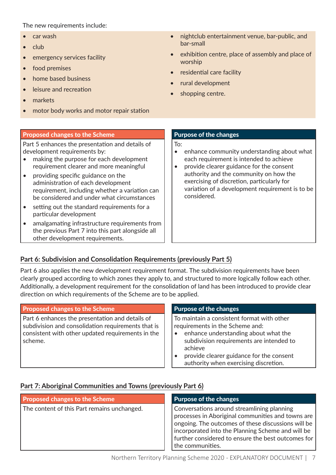### The new requirements include:

- car wash
- club
- emergency services facility
- food premises
- home based business
- leisure and recreation
- markets
- motor body works and motor repair station

### Proposed changes to the Scheme Purpose of the changes

Part 5 enhances the presentation and details of development requirements by:

- making the purpose for each development requirement clearer and more meaningful
- providing specific guidance on the administration of each development requirement, including whether a variation can be considered and under what circumstances
- setting out the standard requirements for a particular development
- amalgamating infrastructure requirements from the previous Part 7 into this part alongside all other development requirements.
- nightclub entertainment venue, bar-public, and bar-small
- exhibition centre, place of assembly and place of worship
- residential care facility
- rural development
- shopping centre.

To:

- enhance community understanding about what each requirement is intended to achieve
- provide clearer guidance for the consent authority and the community on how the exercising of discretion, particularly for variation of a development requirement is to be considered.

### **Part 6: Subdivision and Consolidation Requirements (previously Part 5)**

Part 6 also applies the new development requirement format. The subdivision requirements have been clearly grouped according to which zones they apply to, and structured to more logically follow each other. Additionally, a development requirement for the consolidation of land has been introduced to provide clear direction on which requirements of the Scheme are to be applied.

### Proposed changes to the Scheme **Purpose of the changes**

Part 6 enhances the presentation and details of subdivision and consolidation requirements that is consistent with other updated requirements in the scheme.

To maintain a consistent format with other requirements in the Scheme and:

- enhance understanding about what the subdivision requirements are intended to achieve
- provide clearer guidance for the consent authority when exercising discretion.

### **Part 7: Aboriginal Communities and Towns (previously Part 6)**

| <b>Proposed changes to the Scheme</b>       | <b>Purpose of the changes</b>                                                                                                                                                                                                                                                        |
|---------------------------------------------|--------------------------------------------------------------------------------------------------------------------------------------------------------------------------------------------------------------------------------------------------------------------------------------|
| The content of this Part remains unchanged. | Conversations around streamlining planning<br>processes in Aboriginal communities and towns are<br>ongoing. The outcomes of these discussions will be<br>incorporated into the Planning Scheme and will be<br>further considered to ensure the best outcomes for<br>the communities. |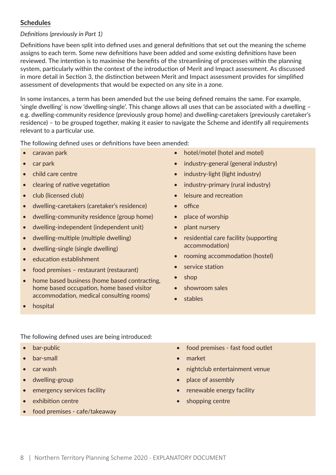### **Schedules**

### *Definitions (previously in Part 1)*

Definitions have been split into defined uses and general definitions that set out the meaning the scheme assigns to each term. Some new definitions have been added and some existing definitions have been reviewed. The intention is to maximise the benefits of the streamlining of processes within the planning system, particularly within the context of the introduction of Merit and Impact assessment. As discussed in more detail in Section 3, the distinction between Merit and Impact assessment provides for simplified assessment of developments that would be expected on any site in a zone.

In some instances, a term has been amended but the use being defined remains the same. For example, 'single dwelling' is now 'dwelling-single'. This change allows all uses that can be associated with a dwelling – e.g. dwelling-community residence (previously group home) and dwelling-caretakers (previously caretaker's residence) – to be grouped together, making it easier to navigate the Scheme and identify all requirements relevant to a particular use.

The following defined uses or definitions have been amended:

- caravan park
- car park
- child care centre
- clearing of native vegetation
- club (licensed club)
- dwelling-caretakers (caretaker's residence)
- dwelling-community residence (group home)
- dwelling-independent (independent unit)
- dwelling-multiple (multiple dwelling)
- dwelling-single (single dwelling)
- education establishment
- food premises restaurant (restaurant)
- home based business (home based contracting, home based occupation, home based visitor accommodation, medical consulting rooms)
- hospital

- The following defined uses are being introduced:
- bar-public
- bar-small
- car wash
- dwelling-group
- emergency services facility
- exhibition centre
- food premises cafe/takeaway
- hotel/motel (hotel and motel)
- industry-general (general industry)
- industry-light (light industry)
- industry-primary (rural industry)
- leisure and recreation
- office
- place of worship
- plant nursery
- residential care facility (supporting accommodation)
- rooming accommodation (hostel)
- service station
- shop
- showroom sales
- stables
- food premises fast food outlet
- market
- nightclub entertainment venue
- place of assembly
- renewable energy facility
- shopping centre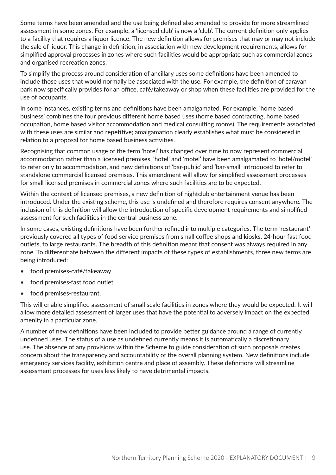Some terms have been amended and the use being defined also amended to provide for more streamlined assessment in some zones. For example, a 'licensed club' is now a 'club'. The current definition only applies to a facility that requires a liquor licence. The new definition allows for premises that may or may not include the sale of liquor. This change in definition, in association with new development requirements, allows for simplified approval processes in zones where such facilities would be appropriate such as commercial zones and organised recreation zones.

To simplify the process around consideration of ancillary uses some definitions have been amended to include those uses that would normally be associated with the use. For example, the definition of caravan park now specifically provides for an office, café/takeaway or shop when these facilities are provided for the use of occupants.

In some instances, existing terms and definitions have been amalgamated. For example, 'home based business' combines the four previous different home based uses (home based contracting, home based occupation, home based visitor accommodation and medical consulting rooms). The requirements associated with these uses are similar and repetitive; amalgamation clearly establishes what must be considered in relation to a proposal for home based business activities.

Recognising that common usage of the term 'hotel' has changed over time to now represent commercial accommodation rather than a licensed premises, 'hotel' and 'motel' have been amalgamated to 'hotel/motel' to refer only to accommodation, and new definitions of 'bar-public' and 'bar-small' introduced to refer to standalone commercial licensed premises. This amendment will allow for simplified assessment processes for small licensed premises in commercial zones where such facilities are to be expected.

Within the context of licensed premises, a new definition of nightclub entertainment venue has been introduced. Under the existing scheme, this use is undefined and therefore requires consent anywhere. The inclusion of this definition will allow the introduction of specific development requirements and simplified assessment for such facilities in the central business zone.

In some cases, existing definitions have been further refined into multiple categories. The term 'restaurant' previously covered all types of food service premises from small coffee shops and kiosks, 24-hour fast food outlets, to large restaurants. The breadth of this definition meant that consent was always required in any zone. To differentiate between the different impacts of these types of establishments, three new terms are being introduced:

- food premises-café/takeaway
- food premises-fast food outlet
- food premises-restaurant.

This will enable simplified assessment of small scale facilities in zones where they would be expected. It will allow more detailed assessment of larger uses that have the potential to adversely impact on the expected amenity in a particular zone.

A number of new definitions have been included to provide better guidance around a range of currently undefined uses. The status of a use as undefined currently means it is automatically a discretionary use. The absence of any provisions within the Scheme to guide consideration of such proposals creates concern about the transparency and accountability of the overall planning system. New definitions include emergency services facility, exhibition centre and place of assembly. These definitions will streamline assessment processes for uses less likely to have detrimental impacts.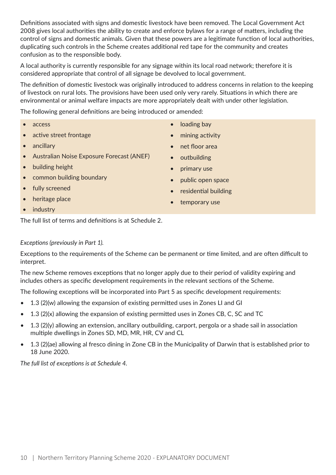Definitions associated with signs and domestic livestock have been removed. The Local Government Act 2008 gives local authorities the ability to create and enforce bylaws for a range of matters, including the control of signs and domestic animals. Given that these powers are a legitimate function of local authorities, duplicating such controls in the Scheme creates additional red tape for the community and creates confusion as to the responsible body.

A local authority is currently responsible for any signage within its local road network; therefore it is considered appropriate that control of all signage be devolved to local government.

The definition of domestic livestock was originally introduced to address concerns in relation to the keeping of livestock on rural lots. The provisions have been used only very rarely. Situations in which there are environmental or animal welfare impacts are more appropriately dealt with under other legislation.

The following general definitions are being introduced or amended:

- access
- active street frontage
- ancillary
- Australian Noise Exposure Forecast (ANEF)
- building height
- common building boundary
- fully screened
- heritage place
- industry

The full list of terms and definitions is at Schedule 2.

### *Exceptions (previously in Part 1).*

Exceptions to the requirements of the Scheme can be permanent or time limited, and are often difficult to interpret.

The new Scheme removes exceptions that no longer apply due to their period of validity expiring and includes others as specific development requirements in the relevant sections of the Scheme.

The following exceptions will be incorporated into Part 5 as specific development requirements:

- 1.3 (2)(w) allowing the expansion of existing permitted uses in Zones LI and GI
- 1.3 (2)(x) allowing the expansion of existing permitted uses in Zones CB, C, SC and TC
- 1.3 (2)(y) allowing an extension, ancillary outbuilding, carport, pergola or a shade sail in association multiple dwellings in Zones SD, MD, MR, HR, CV and CL
- 1.3 (2)(ae) allowing al fresco dining in Zone CB in the Municipality of Darwin that is established prior to 18 June 2020.

*The full list of exceptions is at Schedule 4.*

- loading bay
- mining activity
- net floor area
- outbuilding
- primary use
- public open space
- residential building
- temporary use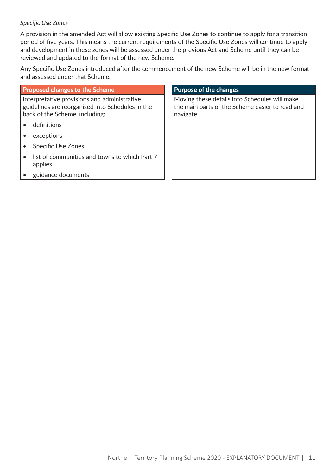### *Specific Use Zones*

A provision in the amended Act will allow existing Specific Use Zones to continue to apply for a transition period of five years. This means the current requirements of the Specific Use Zones will continue to apply and development in these zones will be assessed under the previous Act and Scheme until they can be reviewed and updated to the format of the new Scheme.

Any Specific Use Zones introduced after the commencement of the new Scheme will be in the new format and assessed under that Scheme.

| <b>Proposed changes to the Scheme</b>                                                                                              | <b>Purpose of the changes</b>                                                                                 |
|------------------------------------------------------------------------------------------------------------------------------------|---------------------------------------------------------------------------------------------------------------|
| Interpretative provisions and administrative<br>guidelines are reorganised into Schedules in the<br>back of the Scheme, including: | Moving these details into Schedules will make<br>the main parts of the Scheme easier to read and<br>navigate. |
| definitions                                                                                                                        |                                                                                                               |
| exceptions                                                                                                                         |                                                                                                               |
| <b>Specific Use Zones</b>                                                                                                          |                                                                                                               |
| list of communities and towns to which Part 7<br>applies                                                                           |                                                                                                               |
| guidance documents                                                                                                                 |                                                                                                               |
|                                                                                                                                    |                                                                                                               |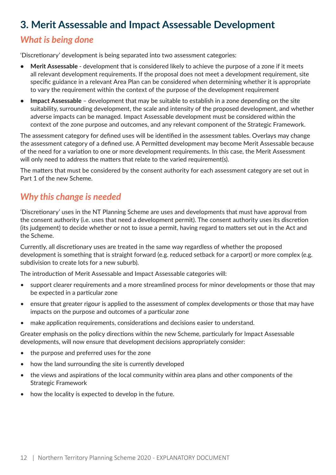# **3. Merit Assessable and Impact Assessable Development**

# *What is being done*

'Discretionary' development is being separated into two assessment categories:

- **• Merit Assessable**  development that is considered likely to achieve the purpose of a zone if it meets all relevant development requirements. If the proposal does not meet a development requirement, site specific guidance in a relevant Area Plan can be considered when determining whether it is appropriate to vary the requirement within the context of the purpose of the development requirement
- **• Impact Assessable**  development that may be suitable to establish in a zone depending on the site suitability, surrounding development, the scale and intensity of the proposed development, and whether adverse impacts can be managed. Impact Assessable development must be considered within the context of the zone purpose and outcomes, and any relevant component of the Strategic Framework.

The assessment category for defined uses will be identified in the assessment tables. Overlays may change the assessment category of a defined use. A Permitted development may become Merit Assessable because of the need for a variation to one or more development requirements. In this case, the Merit Assessment will only need to address the matters that relate to the varied requirement(s).

The matters that must be considered by the consent authority for each assessment category are set out in Part 1 of the new Scheme.

# *Why this change is needed*

'Discretionary' uses in the NT Planning Scheme are uses and developments that must have approval from the consent authority (i.e. uses that need a development permit). The consent authority uses its discretion (its judgement) to decide whether or not to issue a permit, having regard to matters set out in the Act and the Scheme.

Currently, all discretionary uses are treated in the same way regardless of whether the proposed development is something that is straight forward (e.g. reduced setback for a carport) or more complex (e.g. subdivision to create lots for a new suburb).

The introduction of Merit Assessable and Impact Assessable categories will:

- support clearer requirements and a more streamlined process for minor developments or those that may be expected in a particular zone
- ensure that greater rigour is applied to the assessment of complex developments or those that may have impacts on the purpose and outcomes of a particular zone
- make application requirements, considerations and decisions easier to understand.

Greater emphasis on the policy directions within the new Scheme, particularly for Impact Assessable developments, will now ensure that development decisions appropriately consider:

- the purpose and preferred uses for the zone
- how the land surrounding the site is currently developed
- the views and aspirations of the local community within area plans and other components of the Strategic Framework
- how the locality is expected to develop in the future.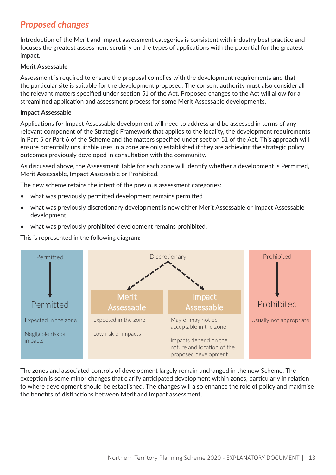# *Proposed changes*

Introduction of the Merit and Impact assessment categories is consistent with industry best practice and focuses the greatest assessment scrutiny on the types of applications with the potential for the greatest impact.

### **Merit Assessable**

Assessment is required to ensure the proposal complies with the development requirements and that the particular site is suitable for the development proposed. The consent authority must also consider all the relevant matters specified under section 51 of the Act. Proposed changes to the Act will allow for a streamlined application and assessment process for some Merit Assessable developments.

### **Impact Assessable**

Applications for Impact Assessable development will need to address and be assessed in terms of any relevant component of the Strategic Framework that applies to the locality, the development requirements in Part 5 or Part 6 of the Scheme and the matters specified under section 51 of the Act. This approach will ensure potentially unsuitable uses in a zone are only established if they are achieving the strategic policy outcomes previously developed in consultation with the community.

As discussed above, the Assessment Table for each zone will identify whether a development is Permitted, Merit Assessable, Impact Assessable or Prohibited.

The new scheme retains the intent of the previous assessment categories:

- what was previously permitted development remains permitted
- what was previously discretionary development is now either Merit Assessable or Impact Assessable development
- what was previously prohibited development remains prohibited.

 $\frac{1}{2}$  This is represented in the following diagram:



The zones and associated controls of development largely remain unchanged in the new Scheme. The exception is some minor changes that clarify anticipated development within zones, particularly in relation to where development should be established. The changes will also enhance the role of policy and maximise the benefits of distinctions between Merit and Impact assessment.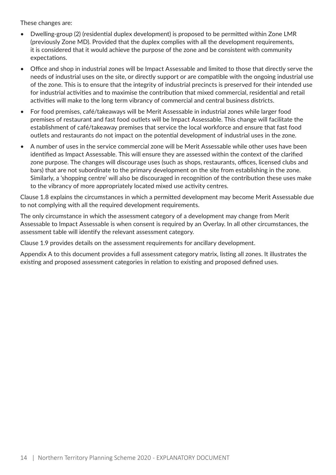These changes are:

- Dwelling-group (2) (residential duplex development) is proposed to be permitted within Zone LMR (previously Zone MD). Provided that the duplex complies with all the development requirements, it is considered that it would achieve the purpose of the zone and be consistent with community expectations.
- Office and shop in industrial zones will be Impact Assessable and limited to those that directly serve the needs of industrial uses on the site, or directly support or are compatible with the ongoing industrial use of the zone. This is to ensure that the integrity of industrial precincts is preserved for their intended use for industrial activities and to maximise the contribution that mixed commercial, residential and retail activities will make to the long term vibrancy of commercial and central business districts.
- For food premises, café/takeaways will be Merit Assessable in industrial zones while larger food premises of restaurant and fast food outlets will be Impact Assessable. This change will facilitate the establishment of café/takeaway premises that service the local workforce and ensure that fast food outlets and restaurants do not impact on the potential development of industrial uses in the zone.
- A number of uses in the service commercial zone will be Merit Assessable while other uses have been identified as Impact Assessable. This will ensure they are assessed within the context of the clarified zone purpose. The changes will discourage uses (such as shops, restaurants, offices, licensed clubs and bars) that are not subordinate to the primary development on the site from establishing in the zone. Similarly, a 'shopping centre' will also be discouraged in recognition of the contribution these uses make to the vibrancy of more appropriately located mixed use activity centres.

Clause 1.8 explains the circumstances in which a permitted development may become Merit Assessable due to not complying with all the required development requirements.

The only circumstance in which the assessment category of a development may change from Merit Assessable to Impact Assessable is when consent is required by an Overlay. In all other circumstances, the assessment table will identify the relevant assessment category.

Clause 1.9 provides details on the assessment requirements for ancillary development.

Appendix A to this document provides a full assessment category matrix, listing all zones. It illustrates the existing and proposed assessment categories in relation to existing and proposed defined uses.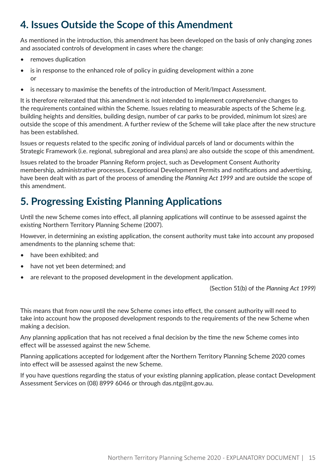# **4. Issues Outside the Scope of this Amendment**

As mentioned in the introduction, this amendment has been developed on the basis of only changing zones and associated controls of development in cases where the change:

- removes duplication
- is in response to the enhanced role of policy in guiding development within a zone or
- is necessary to maximise the benefits of the introduction of Merit/Impact Assessment.

It is therefore reiterated that this amendment is not intended to implement comprehensive changes to the requirements contained within the Scheme. Issues relating to measurable aspects of the Scheme (e.g. building heights and densities, building design, number of car parks to be provided, minimum lot sizes) are outside the scope of this amendment. A further review of the Scheme will take place after the new structure has been established.

Issues or requests related to the specific zoning of individual parcels of land or documents within the Strategic Framework (i.e. regional, subregional and area plans) are also outside the scope of this amendment.

Issues related to the broader Planning Reform project, such as Development Consent Authority membership, administrative processes, Exceptional Development Permits and notifications and advertising, have been dealt with as part of the process of amending the *Planning Act 1999* and are outside the scope of this amendment.

# **5. Progressing Existing Planning Applications**

Until the new Scheme comes into effect, all planning applications will continue to be assessed against the existing Northern Territory Planning Scheme (2007).

However, in determining an existing application, the consent authority must take into account any proposed amendments to the planning scheme that:

- have been exhibited; and
- have not yet been determined; and
- are relevant to the proposed development in the development application.

(Section 51(b) of the *Planning Act 1999)*

This means that from now until the new Scheme comes into effect, the consent authority will need to take into account how the proposed development responds to the requirements of the new Scheme when making a decision.

Any planning application that has not received a final decision by the time the new Scheme comes into effect will be assessed against the new Scheme.

Planning applications accepted for lodgement after the Northern Territory Planning Scheme 2020 comes into effect will be assessed against the new Scheme.

If you have questions regarding the status of your existing planning application, please contact Development Assessment Services on (08) 8999 6046 or through das.ntg@nt.gov.au.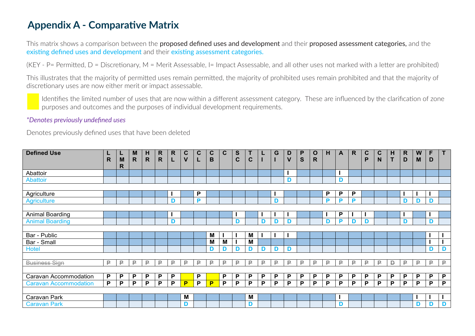# **Appendix A - Comparative Matrix**

This matrix shows a comparison between the **proposed defined uses and development** and their **proposed assessment categories**, and the existing defined uses and development and their existing assessment categories.

(KEY - P= Permitted, D = Discretionary, M = Merit Assessable, I= Impact Assessable, and all other uses not marked with a letter are prohibited)

This illustrates that the majority of permitted uses remain permitted, the majority of prohibited uses remain prohibited and that the majority of discretionary uses are now either merit or impact assessable.

Identifies the limited number of uses that are now within a different assessment category. These are influenced by the clarification of zone purposes and outcomes and the purposes of individual development requirements.

### *\*Denotes previously undefined uses*

Denotes previously defined uses that have been deleted

| <b>Defined Use</b>           | R  | ┕<br>M      | M<br>$\mathsf{R}$ | н<br>$\mathsf{R}$ | R<br>$\mathsf{R}$ | R<br>L | C<br>$\mathsf{V}$ | C | C<br>В | C | S<br>C | $\mathbf C$ |    | G  | D<br>$\mathbf v$ | P<br>S | O<br>R | н        | A | $\mathsf{R}$ | C<br>P | $\mathbf c$<br>N | н<br>T | R.<br>D | W<br>M | F<br>D | T           |
|------------------------------|----|-------------|-------------------|-------------------|-------------------|--------|-------------------|---|--------|---|--------|-------------|----|----|------------------|--------|--------|----------|---|--------------|--------|------------------|--------|---------|--------|--------|-------------|
|                              |    | $\mathbf R$ |                   |                   |                   |        |                   |   |        |   |        |             |    |    |                  |        |        |          |   |              |        |                  |        |         |        |        |             |
| Abattoir                     |    |             |                   |                   |                   |        |                   |   |        |   |        |             |    |    |                  |        |        |          |   |              |        |                  |        |         |        |        |             |
| Abattoir                     |    |             |                   |                   |                   |        |                   |   |        |   |        |             |    |    | D                |        |        |          | D |              |        |                  |        |         |        |        |             |
|                              |    |             |                   |                   |                   |        |                   |   |        |   |        |             |    |    |                  |        |        |          |   |              |        |                  |        |         |        |        |             |
| Agriculture                  |    |             |                   |                   |                   |        |                   | P |        |   |        |             |    |    |                  |        |        | P        | P | P            |        |                  |        |         |        |        |             |
| <b>Agriculture</b>           |    |             |                   |                   |                   | D      |                   | Þ |        |   |        |             |    | D  |                  |        |        | D        | P | P            |        |                  |        | D       | D      | D      |             |
|                              |    |             |                   |                   |                   |        |                   |   |        |   |        |             |    |    |                  |        |        |          |   |              |        |                  |        |         |        |        |             |
| <b>Animal Boarding</b>       |    |             |                   |                   |                   |        |                   |   |        |   |        |             |    |    |                  |        |        |          | P |              |        |                  |        |         |        |        |             |
| <b>Animal Boarding</b>       |    |             |                   |                   |                   | D      |                   |   |        |   | D      |             | D  | D  | D                |        |        | D        | P | D            | D      |                  |        | D       |        | D      |             |
|                              |    |             |                   |                   |                   |        |                   |   |        |   |        |             |    |    |                  |        |        |          |   |              |        |                  |        |         |        |        |             |
| Bar - Public                 |    |             |                   |                   |                   |        |                   |   | M      |   |        | М           |    |    |                  |        |        |          |   |              |        |                  |        |         |        |        |             |
| Bar - Small                  |    |             |                   |                   |                   |        |                   |   | М      | M |        | М           |    |    |                  |        |        |          |   |              |        |                  |        |         |        |        |             |
| Hotel                        |    |             |                   |                   |                   |        |                   |   | D      | D | D      | D           | D  | D  | D                |        |        |          |   |              |        |                  |        |         |        | D      | D           |
|                              |    |             |                   |                   |                   |        |                   |   |        |   |        |             |    |    |                  |        |        |          |   |              |        |                  |        |         |        |        |             |
| <b>Business Sign</b>         | ₽  | ₽           | ₽                 | ₽                 | ₽.                | ₽      | ₽                 | ₽ | ₽      | ₽ | ₽      | ₽           | ₽. | ₽  | ₽                | ₽      | ₽      | ₽        | ₽ | ₽            | ₽      | ₽                | D      | ₽       | ₽.     | ₽      | $\mathsf P$ |
|                              |    |             |                   |                   |                   |        |                   |   |        |   |        |             |    |    |                  |        |        |          |   |              |        |                  |        |         |        |        |             |
| Caravan Accommodation        | P  | P           | P                 | P                 | P                 | P      |                   | P |        | P | P      | P           | P  | P. | P                | P      | P      | <b>P</b> | P | P            | P      | P                | P      | P       | P      | P      | P           |
| <b>Caravan Accommodation</b> | P. | P           | P                 | P                 | P                 | P      | P                 | P | P      | P | P      | P           | P  | P  | P                | P      | P      | P        | P | P            | P      | P                | P      | P       | P      | P      | P           |
|                              |    |             |                   |                   |                   |        |                   |   |        |   |        |             |    |    |                  |        |        |          |   |              |        |                  |        |         |        |        |             |
| Caravan Park                 |    |             |                   |                   |                   |        | M                 |   |        |   |        | M           |    |    |                  |        |        |          |   |              |        |                  |        |         |        |        |             |
| <b>Caravan Park</b>          |    |             |                   |                   |                   |        | D                 |   |        |   |        | D           |    |    |                  |        |        |          | D |              |        |                  |        |         | D      | D      | D           |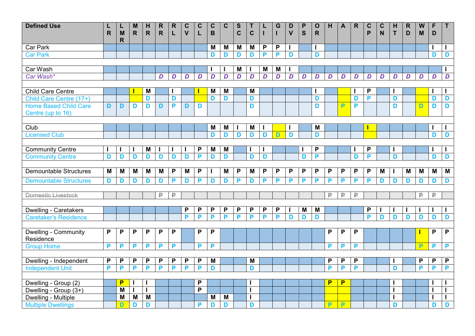| <b>Defined Use</b>                               | $\mathsf{R}$ | L<br>M       | M<br>$\mathsf{R}$ | H<br>$\mathsf{R}$ | R<br>$\mathsf{R}$ | $\mathsf{R}$<br>L | $\mathbf C$<br>$\overline{\mathsf{V}}$ | $\mathbf C$ | $\mathbf C$<br>B | $\mathbf C$    | S<br>$\mathbf C$ | $\mathbf C$ |                | G<br>L         | D<br>$\mathbf v$ | P<br>S         | $\mathbf O$<br>$\mathbf R$ | H              | $\mathbf{A}$   | $\mathsf{R}$ | $\mathbf C$<br>P | $\mathbf C$<br>N | H<br>T       | $\mathsf{R}$<br>D | W<br>M | F<br>D         | T.             |
|--------------------------------------------------|--------------|--------------|-------------------|-------------------|-------------------|-------------------|----------------------------------------|-------------|------------------|----------------|------------------|-------------|----------------|----------------|------------------|----------------|----------------------------|----------------|----------------|--------------|------------------|------------------|--------------|-------------------|--------|----------------|----------------|
|                                                  |              | $\mathsf{R}$ |                   |                   |                   |                   |                                        |             |                  |                |                  |             |                |                |                  |                |                            |                |                |              |                  |                  |              |                   |        |                |                |
| Car Park                                         |              |              |                   |                   |                   |                   |                                        |             | M                | M              | M                | M           | P              | P              | ı                |                | ı                          |                |                |              |                  |                  |              |                   |        |                | L              |
| <b>Car Park</b>                                  |              |              |                   |                   |                   |                   |                                        |             | D                | D              | D                | D           | P              | P              | D                |                | D                          |                |                |              |                  |                  |              |                   |        | D              | D              |
|                                                  |              |              |                   |                   |                   |                   |                                        |             |                  |                |                  |             |                |                |                  |                |                            |                |                |              |                  |                  |              |                   |        |                |                |
| Car Wash                                         |              |              |                   |                   |                   |                   |                                        |             |                  |                | M                |             | M              | M              |                  |                |                            |                |                |              |                  |                  |              |                   |        |                | $\mathbf{I}$   |
| Car Wash*                                        |              |              |                   |                   | D                 | D                 | D                                      | D           | $\overline{D}$   | $\overline{D}$ | $\overline{D}$   | D           | $\overline{D}$ | $\overline{D}$ | D                | $\overline{D}$ | $\boldsymbol{D}$           | D              | D              | D            | D                | $\overline{D}$   | D            | $\overline{D}$    | D      | $\overline{D}$ | $\overline{D}$ |
|                                                  |              |              |                   |                   |                   |                   |                                        |             |                  |                |                  |             |                |                |                  |                |                            |                |                |              |                  |                  |              |                   |        |                |                |
| <b>Child Care Centre</b>                         |              |              |                   | M                 |                   |                   |                                        |             | M                | M              |                  | M           |                |                |                  |                |                            |                |                |              | $\mathsf{P}$     |                  | ı            |                   |        |                | L              |
| Child Care Centre (17+)                          |              |              |                   | D                 |                   | D                 |                                        |             | D                | D              |                  | D           |                |                |                  |                | D                          |                |                | D            | P                |                  | D            |                   |        | D              | D              |
| <b>Home Based Child Care</b>                     | D            | D            | D                 | D                 | D                 | P                 | D                                      | D           |                  |                |                  | D           |                |                |                  |                | D                          |                | Þ              | P            |                  |                  | D            |                   | D      | D              | D              |
| Centre (up to 16)                                |              |              |                   |                   |                   |                   |                                        |             |                  |                |                  |             |                |                |                  |                |                            |                |                |              |                  |                  |              |                   |        |                |                |
|                                                  |              |              |                   |                   |                   |                   |                                        |             |                  |                |                  |             |                |                |                  |                |                            |                |                |              |                  |                  |              |                   |        |                |                |
| Club                                             |              |              |                   |                   |                   |                   |                                        |             | M                | M              |                  | M           |                |                |                  |                | M                          |                |                |              |                  |                  |              |                   |        |                | ı              |
| <b>Licensed Club</b>                             |              |              |                   |                   |                   |                   |                                        |             | D                | D              | D                | D           | D              | $\overline{D}$ | D                |                | D                          |                |                |              |                  |                  |              |                   |        | D              | D              |
|                                                  |              |              |                   |                   |                   |                   |                                        |             |                  |                |                  |             |                |                |                  |                |                            |                |                |              |                  |                  |              |                   |        |                |                |
| <b>Community Centre</b>                          |              |              |                   | M                 |                   |                   |                                        | P           | M                | M              |                  |             |                |                |                  |                | P                          |                |                |              | P                |                  | ı            |                   |        |                | H              |
| <b>Community Centre</b>                          | D            | D            | D                 | D                 | D                 | D                 | D                                      | Þ           | D                | D              |                  | D           | D              |                |                  | D              | P                          |                |                | D            | P                |                  | D            |                   |        | D              | D              |
|                                                  |              |              |                   |                   |                   |                   |                                        |             |                  |                |                  |             |                |                |                  |                |                            |                |                |              |                  |                  |              |                   |        |                |                |
| <b>Demountable Structures</b>                    | M            | M            | M                 | M                 | M                 | P                 | M                                      | P           |                  | M              | P                | M           | P              | P              | $\mathsf{P}$     | P              | P                          | P              | P              | P            | P                | M                | $\mathbf{I}$ | M                 | M      | M              | $\overline{M}$ |
| <b>Demountable Structures</b>                    | D            | D            | D                 | D                 | D                 | P                 | D                                      | P           | D                | D              | P                | D           | P              | P              | P                | P              | P                          | P              | P              | P            | P                | D                | D            | D                 | D      | D              | D              |
|                                                  |              |              |                   |                   |                   |                   |                                        |             |                  |                |                  |             |                |                |                  |                |                            |                |                |              |                  |                  |              |                   |        |                |                |
| Domestic Livestock                               |              |              |                   |                   | ₽                 | ₽                 |                                        |             |                  |                |                  |             |                |                |                  |                |                            | ₽              | ₽              | ₽            |                  |                  |              |                   | ₽      | P              |                |
|                                                  |              |              |                   |                   |                   |                   |                                        |             |                  |                |                  |             |                |                |                  |                |                            |                |                |              |                  |                  |              |                   |        |                |                |
| <b>Dwelling - Caretakers</b>                     |              |              |                   |                   |                   |                   | P                                      | P           | P                | P              | P                | P           | P              | P              | ı                | M              | M                          |                |                |              | P                |                  | ı            |                   |        |                | L              |
| <b>Caretaker's Residence</b>                     |              |              |                   |                   |                   |                   | P                                      | P           | P                | P              | P                | P           | P              | P              | D                | D              | D                          |                |                |              | P                | D                | D            | D                 | D      | D              | D              |
|                                                  |              |              |                   |                   |                   |                   |                                        |             |                  |                |                  |             |                |                |                  |                |                            |                |                |              |                  |                  |              |                   |        |                |                |
| Dwelling - Community                             | P            | P            | P                 | P                 | P                 | P                 |                                        | P           | P                |                |                  |             |                |                |                  |                |                            | P              | P              | P            |                  |                  |              |                   |        | P              | P              |
| Residence                                        |              |              |                   |                   |                   |                   |                                        |             |                  |                |                  |             |                |                |                  |                |                            |                |                |              |                  |                  |              |                   |        |                |                |
| <b>Group Home</b>                                | P            | P            | P                 | P                 | P                 | P                 |                                        | P           | P                |                |                  |             |                |                |                  |                |                            | P              | P              | P            |                  |                  |              |                   | P      | P              | P              |
|                                                  |              |              |                   |                   |                   |                   |                                        |             |                  |                |                  |             |                |                |                  |                |                            |                |                |              |                  |                  |              |                   |        |                |                |
| Dwelling - Independent                           | P            | P            | P                 | P                 | P                 | P                 | P                                      | P           | M                |                |                  | M           |                |                |                  |                |                            | P              | P              | P            |                  |                  | ı            |                   | P      | P              | $\mathsf{P}$   |
| <b>Independent Unit</b>                          | P            | P            | P                 | P                 | P                 | P                 | P                                      | P           | D                |                |                  | D           |                |                |                  |                |                            | P              | P              | P            |                  |                  | D            |                   | P      | P              | P              |
|                                                  |              |              |                   |                   |                   |                   |                                        |             |                  |                |                  |             |                |                |                  |                |                            |                |                |              |                  |                  |              |                   |        |                |                |
| Dwelling - Group (2)                             |              | P            |                   |                   |                   |                   |                                        | P<br>P      |                  |                |                  |             |                |                |                  |                |                            | P              | P              |              |                  |                  | H            |                   |        |                | H              |
| Dwelling - Group (3+)                            |              | M            |                   |                   |                   |                   |                                        |             |                  |                |                  |             |                |                |                  |                |                            |                |                |              |                  |                  | $\mathbf{I}$ |                   |        |                | $\mathbf{I}$   |
| Dwelling - Multiple<br><b>Multiple Dwellings</b> |              | M<br>D       | M                 | M                 |                   |                   |                                        | P           | M                | M              |                  | D           |                |                |                  |                |                            | $\overline{P}$ | $\overline{P}$ |              |                  |                  | H            |                   |        | D              | L              |
|                                                  |              |              | D                 | D                 |                   |                   |                                        |             | D                | D              |                  |             |                |                |                  |                |                            |                |                |              |                  |                  | D            |                   |        |                | D              |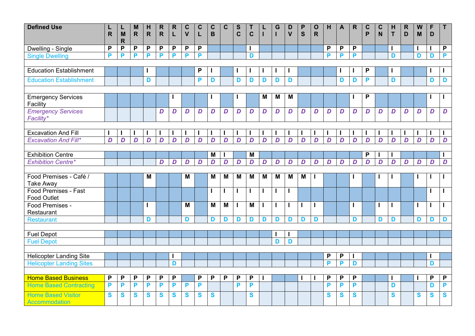| <b>Defined Use</b>                     | L<br>$\mathsf{R}$ | L<br>M       | M<br>$\mathsf{R}$ | н<br>$\mathsf{R}$ | R.<br>R.         | R.<br>L          | $\mathbf C$<br>$\mathsf{V}$ | $\mathbf C$<br>L | $\mathbf c$<br>B | $\mathbf c$    | $\mathbf{s}$<br>$\mathbf c$ | Τ<br>$\mathbf c$ |   | G | D<br>$\mathbf{V}$ | P<br>$\mathbf S$ | $\mathbf O$<br>$\mathsf{R}$ | н | $\mathbf{A}$ | $\mathsf{R}$ | $\mathbf c$<br>P | C<br>N         | H<br>T | $\mathsf{R}$<br>D | W<br>M | F<br>D         | $\mathsf{T}$     |
|----------------------------------------|-------------------|--------------|-------------------|-------------------|------------------|------------------|-----------------------------|------------------|------------------|----------------|-----------------------------|------------------|---|---|-------------------|------------------|-----------------------------|---|--------------|--------------|------------------|----------------|--------|-------------------|--------|----------------|------------------|
|                                        |                   | $\mathsf{R}$ |                   |                   |                  |                  |                             |                  |                  |                |                             |                  |   |   |                   |                  |                             |   |              |              |                  |                |        |                   |        |                |                  |
| Dwelling - Single                      | P                 | P            | P                 | P                 | P                | P                | P                           | P                |                  |                |                             |                  |   |   |                   |                  |                             | P | P            | P            |                  |                | H      |                   |        |                | $\mathsf{P}$     |
| <b>Single Dwelling</b>                 | P                 | P            | P                 | P                 | P                | P                | P                           | P                |                  |                |                             | D                |   |   |                   |                  |                             | P | P            | P            |                  |                | D      |                   | D      | D              | P                |
|                                        |                   |              |                   |                   |                  |                  |                             |                  |                  |                |                             |                  |   |   |                   |                  |                             |   |              |              |                  |                |        |                   |        |                |                  |
| <b>Education Establishment</b>         |                   |              |                   |                   |                  |                  |                             | P                |                  |                |                             |                  |   |   |                   |                  |                             |   |              |              | P                |                |        |                   |        |                |                  |
| <b>Education Establishment</b>         |                   |              |                   | D                 |                  |                  |                             | P                | D                |                | D                           | D                | D | D | D                 |                  |                             |   | D            | D            | P                |                | D      |                   |        | D              | D                |
|                                        |                   |              |                   |                   |                  |                  |                             |                  |                  |                |                             |                  |   |   |                   |                  |                             |   |              |              |                  |                |        |                   |        |                |                  |
| <b>Emergency Services</b><br>Facility  |                   |              |                   |                   |                  |                  |                             |                  |                  |                |                             |                  | M | M | M                 |                  |                             |   |              |              | P                |                |        |                   |        |                |                  |
| <b>Emergency Services</b><br>Facility* |                   |              |                   |                   | D                | D                | D                           | D                | D                | D              | D                           | D                | D | D | D                 | D                | D                           | D | D            | D            | D                | D              | D      | D                 | D      | D              | $\boldsymbol{D}$ |
|                                        |                   |              |                   |                   |                  |                  |                             |                  |                  |                |                             |                  |   |   |                   |                  |                             |   |              |              |                  |                |        |                   |        |                |                  |
| <b>Excavation And Fill</b>             |                   |              |                   |                   |                  |                  |                             |                  |                  |                |                             |                  |   |   |                   |                  |                             |   |              |              |                  |                |        |                   |        |                |                  |
| <b>Excavation And Fill*</b>            | D                 | D            | D                 | D                 | D                | D                | D                           | D                | D                | D              | D                           | D                | D | D | D                 | D                | D                           | D | D            | D            | D                | D              | D      | D                 | D      | D              | $\overline{D}$   |
|                                        |                   |              |                   |                   |                  |                  |                             |                  |                  |                |                             |                  |   |   |                   |                  |                             |   |              |              |                  |                |        |                   |        |                |                  |
| <b>Exhibition Centre</b>               |                   |              |                   |                   |                  |                  |                             |                  | M                |                |                             | M                |   |   |                   |                  |                             |   |              |              | P                |                |        |                   |        |                |                  |
| <b>Exhibition Centre*</b>              |                   |              |                   |                   | $\boldsymbol{D}$ | $\boldsymbol{D}$ | D                           | D                | D                | $\overline{D}$ | D                           | D                | D | D | D                 | D                | D                           | D | D            | D            | D                | $\overline{D}$ | D      | $\overline{D}$    | D      | $\overline{D}$ | D                |
|                                        |                   |              |                   |                   |                  |                  |                             |                  |                  |                |                             |                  |   |   |                   |                  |                             |   |              |              |                  |                |        |                   |        |                |                  |
| Food Premises - Café /                 |                   |              |                   | M                 |                  |                  | M                           |                  | M                | M              | M                           | M                | M | M | M                 | M                |                             |   |              |              |                  |                |        |                   |        |                |                  |
| <b>Take Away</b>                       |                   |              |                   |                   |                  |                  |                             |                  |                  |                |                             |                  |   |   |                   |                  |                             |   |              |              |                  |                |        |                   |        |                |                  |
| <b>Food Premises - Fast</b>            |                   |              |                   |                   |                  |                  |                             |                  | $\mathbf{I}$     |                | $\mathbf{I}$                |                  |   |   | $\mathbf{I}$      |                  |                             |   |              |              |                  |                |        |                   |        |                |                  |
| <b>Food Outlet</b>                     |                   |              |                   |                   |                  |                  |                             |                  |                  |                |                             |                  |   |   |                   |                  |                             |   |              |              |                  |                |        |                   |        |                |                  |
| Food Premises -                        |                   |              |                   |                   |                  |                  | M                           |                  | M                | M              | $\mathbf{I}$                | M                |   |   | $\mathbf{I}$      |                  | ı                           |   |              |              |                  |                | H      |                   |        |                |                  |
| Restaurant                             |                   |              |                   |                   |                  |                  |                             |                  |                  |                |                             |                  |   |   |                   |                  |                             |   |              |              |                  |                |        |                   |        |                | D                |
| <b>Restaurant</b>                      |                   |              |                   | D                 |                  |                  | D                           |                  | D                | D              | D                           | D                | D | D | D                 | D                | D                           |   |              | D            |                  | D              | D      |                   | D      | D              |                  |
| <b>Fuel Depot</b>                      |                   |              |                   |                   |                  |                  |                             |                  |                  |                |                             |                  |   |   |                   |                  |                             |   |              |              |                  |                |        |                   |        |                |                  |
| <b>Fuel Depot</b>                      |                   |              |                   |                   |                  |                  |                             |                  |                  |                |                             |                  |   | D | D                 |                  |                             |   |              |              |                  |                |        |                   |        |                |                  |
|                                        |                   |              |                   |                   |                  |                  |                             |                  |                  |                |                             |                  |   |   |                   |                  |                             |   |              |              |                  |                |        |                   |        |                |                  |
| <b>Helicopter Landing Site</b>         |                   |              |                   |                   |                  |                  |                             |                  |                  |                |                             |                  |   |   |                   |                  |                             | P | P            |              |                  |                |        |                   |        |                |                  |
| <b>Helicopter Landing Sites</b>        |                   |              |                   |                   |                  | D                |                             |                  |                  |                |                             |                  |   |   |                   |                  |                             | P | P            | D            |                  |                |        |                   |        | D              |                  |
|                                        |                   |              |                   |                   |                  |                  |                             |                  |                  |                |                             |                  |   |   |                   |                  |                             |   |              |              |                  |                |        |                   |        |                |                  |
| <b>Home Based Business</b>             | $\mathsf{P}$      | P            | P                 | P                 | P                | P                |                             | P                | P                | P              | P                           | P                |   |   |                   |                  |                             | P | P            | P            |                  |                |        |                   |        | P              | $\mathsf{P}$     |
| <b>Home Based Contracting</b>          | P                 | P            | P                 | P                 | P                | P                | P                           | P                |                  |                | P                           | P                |   |   |                   |                  |                             | P | P            | P            |                  |                | D      |                   |        | D              | P                |
| <b>Home Based Visitor</b>              | S                 | S            | S                 | S                 | S                | S                | S                           | S                | S                |                |                             | S                |   |   |                   |                  |                             | S | S            | S            |                  |                | S      |                   | S      | S              | S                |
| <b>Accommodation</b>                   |                   |              |                   |                   |                  |                  |                             |                  |                  |                |                             |                  |   |   |                   |                  |                             |   |              |              |                  |                |        |                   |        |                |                  |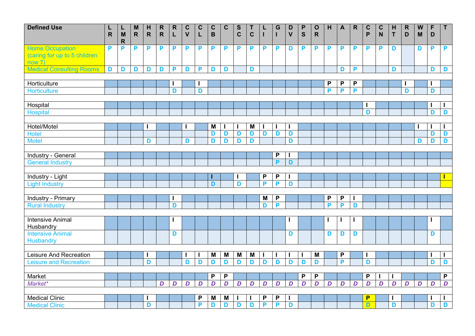| <b>Defined Use</b>              | L            | L                           | M            | H            | $\mathsf{R}$     | $\mathbf R$ | $\mathbf C$  | $\mathbf C$ | $\mathbf C$  | $\mathbf C$ | $\mathbf{s}$ | T           |        | G                | D            | P           | $\mathbf{o}$ | H | $\mathbf{A}$ | $\mathsf{R}$ | $\mathbf C$ | $\mathbf C$ | H | $\mathsf{R}$ | W | F      | $\mathsf T$       |
|---------------------------------|--------------|-----------------------------|--------------|--------------|------------------|-------------|--------------|-------------|--------------|-------------|--------------|-------------|--------|------------------|--------------|-------------|--------------|---|--------------|--------------|-------------|-------------|---|--------------|---|--------|-------------------|
|                                 | $\mathsf{R}$ | $\mathbf M$<br>$\mathsf{R}$ | $\mathsf{R}$ | $\mathsf{R}$ | $\mathsf{R}$     | L           | $\mathsf{V}$ | L           | $\, {\bf B}$ |             | $\mathbf C$  | $\mathbf C$ |        | П                | $\mathsf{V}$ | $\mathbf S$ | $\mathsf{R}$ |   |              |              | P           | N           | T | D            | M | D      |                   |
| <b>Home Occupation</b>          | P            | P                           | P            | P            | P                | P           | P            | P           | P            | P           | P            | P           | P      | P                | D            | P           | P            | P | P            | P            | P           | P           | D |              | D | P      | P                 |
| (caring for up to 5 children    |              |                             |              |              |                  |             |              |             |              |             |              |             |        |                  |              |             |              |   |              |              |             |             |   |              |   |        |                   |
| now 7)                          |              |                             |              |              |                  |             |              |             |              |             |              |             |        |                  |              |             |              |   |              |              |             |             |   |              |   |        |                   |
| <b>Medical Consulting Rooms</b> | D            | D                           | D            | D            | D                | P           | D            | P           | D            | D           |              | D           |        |                  |              |             |              |   | D            | P            |             |             | D |              |   | D      | D                 |
|                                 |              |                             |              |              |                  |             |              |             |              |             |              |             |        |                  |              |             |              |   |              |              |             |             |   |              |   |        |                   |
| Horticulture                    |              |                             |              |              |                  |             |              |             |              |             |              |             |        |                  |              |             |              | P | P            | P            |             |             |   |              |   |        |                   |
| <b>Horticulture</b>             |              |                             |              |              |                  | D           |              | D           |              |             |              |             |        |                  |              |             |              | P | P            | P            |             |             |   | D            |   | D      |                   |
|                                 |              |                             |              |              |                  |             |              |             |              |             |              |             |        |                  |              |             |              |   |              |              |             |             |   |              |   |        |                   |
| Hospital                        |              |                             |              |              |                  |             |              |             |              |             |              |             |        |                  |              |             |              |   |              |              |             |             |   |              |   |        |                   |
| <b>Hospital</b>                 |              |                             |              |              |                  |             |              |             |              |             |              |             |        |                  |              |             |              |   |              |              | D           |             |   |              |   | D      | D                 |
|                                 |              |                             |              |              |                  |             |              |             |              |             |              |             |        |                  |              |             |              |   |              |              |             |             |   |              |   |        |                   |
| Hotel/Motel                     |              |                             |              |              |                  |             |              |             | M            |             | I.           | M           |        |                  | ı            |             |              |   |              |              |             |             |   |              |   |        |                   |
| <b>Hotel</b>                    |              |                             |              |              |                  |             |              |             | D            | D<br>D      | D            | D           | D      | D                | D            |             |              |   |              |              |             |             |   |              |   | D<br>D | D                 |
| <b>Motel</b>                    |              |                             |              | D            |                  |             | D            |             | D            |             | D            | D           |        |                  | D            |             |              |   |              |              |             |             |   |              | D |        | D                 |
| <b>Industry - General</b>       |              |                             |              |              |                  |             |              |             |              |             |              |             |        | P                |              |             |              |   |              |              |             |             |   |              |   |        |                   |
| <b>General Industry</b>         |              |                             |              |              |                  |             |              |             |              |             |              |             |        | P                | D            |             |              |   |              |              |             |             |   |              |   |        |                   |
|                                 |              |                             |              |              |                  |             |              |             |              |             |              |             |        |                  |              |             |              |   |              |              |             |             |   |              |   |        |                   |
| Industry - Light                |              |                             |              |              |                  |             |              |             |              |             |              |             | P      | P                |              |             |              |   |              |              |             |             |   |              |   |        |                   |
| <b>Light Industry</b>           |              |                             |              |              |                  |             |              |             | D            |             | D            |             | P      | P                | D            |             |              |   |              |              |             |             |   |              |   |        |                   |
|                                 |              |                             |              |              |                  |             |              |             |              |             |              |             |        |                  |              |             |              |   |              |              |             |             |   |              |   |        |                   |
| <b>Industry - Primary</b>       |              |                             |              |              |                  |             |              |             |              |             |              |             | M      | P                |              |             |              | P | P            |              |             |             |   |              |   |        |                   |
| <b>Rural Industry</b>           |              |                             |              |              |                  | D           |              |             |              |             |              |             | D      | P                |              |             |              | P | P            | D            |             |             |   |              |   |        |                   |
|                                 |              |                             |              |              |                  |             |              |             |              |             |              |             |        |                  |              |             |              |   |              |              |             |             |   |              |   |        |                   |
| <b>Intensive Animal</b>         |              |                             |              |              |                  |             |              |             |              |             |              |             |        |                  |              |             |              |   |              |              |             |             |   |              |   |        |                   |
| Husbandry                       |              |                             |              |              |                  |             |              |             |              |             |              |             |        |                  |              |             |              |   |              |              |             |             |   |              |   |        |                   |
| <b>Intensive Animal</b>         |              |                             |              |              |                  | D           |              |             |              |             |              |             |        |                  | D            |             |              | D | D            | D            |             |             |   |              |   | D      |                   |
| <b>Husbandry</b>                |              |                             |              |              |                  |             |              |             |              |             |              |             |        |                  |              |             |              |   |              |              |             |             |   |              |   |        |                   |
|                                 |              |                             |              |              |                  |             |              |             |              |             |              |             |        |                  |              |             |              |   |              |              |             |             |   |              |   |        |                   |
| Leisure And Recreation          |              |                             |              |              |                  |             | $\mathbf I$  |             | M            | M           | M            | M           | I.     |                  | J.           |             | M            |   | P            |              |             |             |   |              |   |        | $\mathbf{I}$      |
| <b>Leisure and Recreation</b>   |              |                             |              | D            |                  |             | D            | D           | D            | D           | D            | D           | D      | D                | D            | D           | D            |   | P            |              | D           |             |   |              |   | D      | D                 |
|                                 |              |                             |              |              |                  |             |              |             |              |             |              |             |        |                  |              |             |              |   |              |              |             |             |   |              |   |        |                   |
| Market                          |              |                             |              |              |                  |             |              |             | P            | P           |              |             |        |                  |              | P           | P            |   |              |              | P           |             |   |              |   |        | $\mathsf{P}$      |
| Market*                         |              |                             |              |              | $\boldsymbol{D}$ | D           | D            | D           | D            | D           | D            | D           | D      | $\boldsymbol{D}$ | D            | D           | D            | D | D            | D            | D           | D           | D | D            | D | D      | D                 |
| <b>Medical Clinic</b>           |              |                             |              |              |                  |             |              | P           |              |             |              |             |        |                  |              |             |              |   |              |              | P           |             |   |              |   |        |                   |
|                                 |              |                             |              |              |                  |             |              | P           | M            | M<br>D      | H            |             | P<br>P | P<br>P           | ı<br>D       |             |              |   |              |              |             |             | H |              |   | D      | $\mathbf{I}$<br>D |
| <b>Medical Clinic</b>           |              |                             |              | D            |                  |             |              |             | D            |             | D            | D           |        |                  |              |             |              |   |              |              | D           |             | D |              |   |        |                   |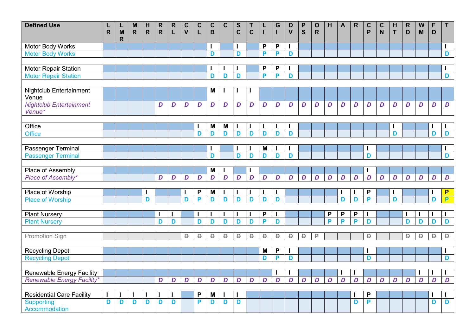| <b>Defined Use</b>                | $\mathsf{R}$ | L<br>M       | M<br>$\mathsf{R}$ | H<br>$\mathsf{R}$ | $\mathsf{R}$<br>$\mathsf{R}$ | $\mathsf{R}$<br>L | $\mathbf C$<br>$\mathbf v$ | $\mathbf C$<br>L | $\mathbf C$<br>$\overline{B}$ | $\mathbf C$    | $\mathbf S$<br>$\mathbf C$ | T<br>$\mathbf C$ |    | G                | D<br>$\mathbf v$ | $\mathsf{P}$<br>S | $\mathbf O$<br>$\mathsf{R}$ | H      | $\overline{\mathsf{A}}$ | $\mathsf{R}$ | $\mathbf C$<br>P | $\mathbf C$<br>N | H<br>T       | $\mathbf R$<br>D | W<br>M | F<br>D         | $\mathsf{T}$     |
|-----------------------------------|--------------|--------------|-------------------|-------------------|------------------------------|-------------------|----------------------------|------------------|-------------------------------|----------------|----------------------------|------------------|----|------------------|------------------|-------------------|-----------------------------|--------|-------------------------|--------------|------------------|------------------|--------------|------------------|--------|----------------|------------------|
|                                   |              | $\mathsf{R}$ |                   |                   |                              |                   |                            |                  |                               |                |                            |                  |    |                  |                  |                   |                             |        |                         |              |                  |                  |              |                  |        |                |                  |
| Motor Body Works                  |              |              |                   |                   |                              |                   |                            |                  |                               |                |                            |                  | P  | $\mathsf{P}$     | I                |                   |                             |        |                         |              |                  |                  |              |                  |        |                | T                |
| <b>Motor Body Works</b>           |              |              |                   |                   |                              |                   |                            |                  | D                             |                | D                          |                  | P  | P                | D                |                   |                             |        |                         |              |                  |                  |              |                  |        |                | D                |
|                                   |              |              |                   |                   |                              |                   |                            |                  |                               |                |                            |                  |    |                  |                  |                   |                             |        |                         |              |                  |                  |              |                  |        |                |                  |
| <b>Motor Repair Station</b>       |              |              |                   |                   |                              |                   |                            |                  |                               |                |                            |                  | P  | P                |                  |                   |                             |        |                         |              |                  |                  |              |                  |        |                | $\mathbf{I}$     |
| <b>Motor Repair Station</b>       |              |              |                   |                   |                              |                   |                            |                  | D                             | D              | D                          |                  | P  | P                | D                |                   |                             |        |                         |              |                  |                  |              |                  |        |                | D                |
|                                   |              |              |                   |                   |                              |                   |                            |                  |                               |                |                            |                  |    |                  |                  |                   |                             |        |                         |              |                  |                  |              |                  |        |                |                  |
| <b>Nightclub Entertainment</b>    |              |              |                   |                   |                              |                   |                            |                  | M                             |                |                            |                  |    |                  |                  |                   |                             |        |                         |              |                  |                  |              |                  |        |                |                  |
| Venue                             |              |              |                   |                   |                              |                   |                            |                  |                               |                |                            |                  |    |                  |                  |                   |                             |        |                         |              |                  |                  |              |                  |        |                |                  |
| <b>Nightclub Entertainment</b>    |              |              |                   |                   | D                            | D                 | D                          | D                | D                             | D              | D                          | D                | D  | D                | D                | D                 | D                           | D      | D                       | D            | D                | D                | D            | D                | D      | D              | D                |
| Venue*                            |              |              |                   |                   |                              |                   |                            |                  |                               |                |                            |                  |    |                  |                  |                   |                             |        |                         |              |                  |                  |              |                  |        |                |                  |
|                                   |              |              |                   |                   |                              |                   |                            |                  |                               |                |                            |                  |    |                  |                  |                   |                             |        |                         |              |                  |                  |              |                  |        |                |                  |
| Office                            |              |              |                   |                   |                              |                   |                            |                  | M                             | M              |                            |                  |    |                  | I                |                   |                             |        |                         |              |                  |                  | ı            |                  |        |                | T                |
| <b>Office</b>                     |              |              |                   |                   |                              |                   |                            | D                | D                             | D              | D                          | D                | D  | D                | D                |                   |                             |        |                         |              |                  |                  | D            |                  |        | D              | D                |
|                                   |              |              |                   |                   |                              |                   |                            |                  |                               |                |                            |                  |    |                  |                  |                   |                             |        |                         |              |                  |                  |              |                  |        |                |                  |
| Passenger Terminal                |              |              |                   |                   |                              |                   |                            |                  |                               |                |                            |                  | M  |                  |                  |                   |                             |        |                         |              |                  |                  |              |                  |        |                | L                |
| <b>Passenger Terminal</b>         |              |              |                   |                   |                              |                   |                            |                  | D                             |                | D                          | D                | D  | D                | D                |                   |                             |        |                         |              | D                |                  |              |                  |        |                | D                |
|                                   |              |              |                   |                   |                              |                   |                            |                  |                               |                |                            |                  |    |                  |                  |                   |                             |        |                         |              |                  |                  |              |                  |        |                |                  |
| <b>Place of Assembly</b>          |              |              |                   |                   |                              |                   |                            |                  | M                             |                |                            |                  |    |                  |                  |                   |                             |        |                         |              |                  |                  |              |                  |        |                |                  |
| Place of Assembly*                |              |              |                   |                   | D                            | D                 | D                          | D                | D                             | $\overline{D}$ | D                          | D                | D  | $\boldsymbol{D}$ | D                | $\boldsymbol{D}$  | D                           | D      | D                       | D            | D                | D                | D            | D                | D      | D              | $\boldsymbol{D}$ |
|                                   |              |              |                   |                   |                              |                   |                            |                  |                               |                |                            |                  |    |                  |                  |                   |                             |        |                         |              |                  |                  |              |                  |        |                |                  |
| Place of Worship                  |              |              |                   |                   |                              |                   |                            | P                | M                             |                |                            |                  |    |                  |                  |                   |                             |        | H                       |              | P                |                  | $\mathbf{I}$ |                  |        |                | P                |
| <b>Place of Worship</b>           |              |              |                   | D                 |                              |                   | D                          | P                | D                             | D              | D                          | D                | D  | D                |                  |                   |                             |        | D                       | D            | P                |                  | D            |                  |        | D              | $\overline{P}$   |
|                                   |              |              |                   |                   |                              |                   |                            |                  |                               |                |                            |                  |    |                  |                  |                   |                             |        |                         |              |                  |                  |              |                  |        |                |                  |
| <b>Plant Nursery</b>              |              |              |                   |                   |                              |                   |                            |                  |                               |                |                            |                  | P  |                  |                  |                   |                             | P<br>P | P                       | P            | ı                |                  |              |                  |        |                | $\mathbf{I}$     |
| <b>Plant Nursery</b>              |              |              |                   |                   | D                            | D                 |                            | D                | D                             | D              | D                          | D                | P  | D                |                  |                   |                             |        | P                       | P            | D                |                  |              | D                | D      | D              | D                |
|                                   |              |              |                   |                   |                              |                   |                            |                  |                               |                |                            |                  |    |                  |                  |                   |                             |        |                         |              |                  |                  |              |                  |        |                |                  |
| <b>Promotion Sign</b>             |              |              |                   |                   |                              |                   | Đ                          | Đ                | D                             | D              | D                          | Đ                | D. | Đ                | Đ                | $\Box$            | ₽                           |        |                         |              | D                |                  |              | Đ                | D      | D              | $\mathsf D$      |
|                                   |              |              |                   |                   |                              |                   |                            |                  |                               |                |                            |                  |    |                  |                  |                   |                             |        |                         |              |                  |                  |              |                  |        |                |                  |
| <b>Recycling Depot</b>            |              |              |                   |                   |                              |                   |                            |                  |                               |                |                            |                  | M  | P<br>P           |                  |                   |                             |        |                         |              |                  |                  |              |                  |        |                | H                |
| <b>Recycling Depot</b>            |              |              |                   |                   |                              |                   |                            |                  |                               |                |                            |                  | D  |                  | D                |                   |                             |        |                         |              | D                |                  |              |                  |        |                | D                |
|                                   |              |              |                   |                   |                              |                   |                            |                  |                               |                |                            |                  |    |                  |                  |                   |                             |        |                         |              |                  |                  |              |                  |        |                |                  |
| <b>Renewable Energy Facility</b>  |              |              |                   |                   |                              |                   |                            |                  |                               |                |                            |                  |    |                  |                  |                   |                             |        | $\mathbf{I}$            |              |                  |                  |              |                  |        |                | $\mathbf{I}$     |
| <b>Renewable Energy Facility*</b> |              |              |                   |                   | D                            | $\boldsymbol{D}$  | D                          | D                | D                             | D              | D                          | D                | D  | $\overline{D}$   | D                | $\overline{D}$    | D                           | D      | D                       | D            | $\overline{D}$   | $\boldsymbol{D}$ | D            | $\overline{D}$   | D      | $\overline{D}$ | D                |
|                                   |              |              |                   |                   |                              |                   |                            |                  |                               |                |                            |                  |    |                  |                  |                   |                             |        |                         |              |                  |                  |              |                  |        |                |                  |
| <b>Residential Care Facility</b>  |              |              |                   |                   |                              |                   |                            | P                | M                             |                |                            |                  |    |                  |                  |                   |                             |        |                         |              | P                |                  |              |                  |        |                | $\mathbf{I}$     |
| <b>Supporting</b>                 | D            | D            | D                 | D                 | D                            | D                 |                            | P                | D                             | D              | D                          |                  |    |                  |                  |                   |                             |        |                         | D            | P                |                  |              |                  |        | D              | D                |
| <b>Accommodation</b>              |              |              |                   |                   |                              |                   |                            |                  |                               |                |                            |                  |    |                  |                  |                   |                             |        |                         |              |                  |                  |              |                  |        |                |                  |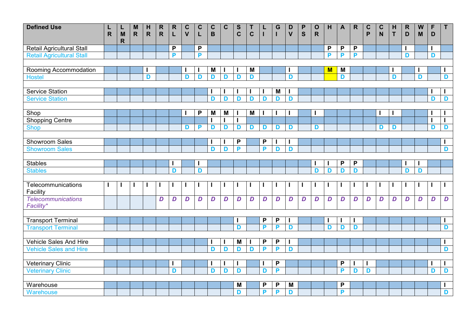| <b>Defined Use</b>               | L<br>$\mathsf{R}$ | L<br>M      | M<br>$\mathsf{R}$ | H<br>$\mathsf{R}$ | $\mathsf{R}$<br>$\mathsf{R}$ | ${\sf R}$<br>L | $\mathbf C$<br>$\mathbf v$ | $\mathbf C$<br>L | $\mathbf C$<br>B | $\mathbf C$ | S<br>$\mathbf C$ | T<br>$\mathbf C$ |                  | G<br>т           | D<br>$\mathbf v$ | $\boldsymbol{\mathsf{P}}$<br>S | $\mathbf{o}$<br>$\mathsf{R}$ | H | $\mathbf{A}$   | $\mathsf{R}$     | $\mathbf C$<br>P | $\mathbf C$<br>N | H<br>$\mathbf{T}$ | $\mathsf{R}$<br>D | W<br>M | F<br>D | $\mathsf{T}$     |
|----------------------------------|-------------------|-------------|-------------------|-------------------|------------------------------|----------------|----------------------------|------------------|------------------|-------------|------------------|------------------|------------------|------------------|------------------|--------------------------------|------------------------------|---|----------------|------------------|------------------|------------------|-------------------|-------------------|--------|--------|------------------|
|                                  |                   | $\mathbf R$ |                   |                   |                              |                |                            |                  |                  |             |                  |                  |                  |                  |                  |                                |                              |   |                |                  |                  |                  |                   |                   |        |        |                  |
| Retail Agricultural Stall        |                   |             |                   |                   |                              | P              |                            | P                |                  |             |                  |                  |                  |                  |                  |                                |                              | P | P              | $\mathsf{P}$     |                  |                  |                   |                   |        |        |                  |
| <b>Retail Agricultural Stall</b> |                   |             |                   |                   |                              | P              |                            | P                |                  |             |                  |                  |                  |                  |                  |                                |                              | P | P              | P                |                  |                  |                   | D                 |        | D      |                  |
|                                  |                   |             |                   |                   |                              |                |                            |                  |                  |             |                  |                  |                  |                  |                  |                                |                              |   |                |                  |                  |                  |                   |                   |        |        |                  |
| Rooming Accommodation            |                   |             |                   |                   |                              |                |                            |                  | M                |             |                  | M                |                  |                  |                  |                                |                              | M | M              |                  |                  |                  |                   |                   |        |        |                  |
| <b>Hostel</b>                    |                   |             |                   | D                 |                              |                | D                          | D                | D                | D           | D                | D                |                  |                  | D                |                                |                              |   | D              |                  |                  |                  | D                 |                   | D      |        | D                |
|                                  |                   |             |                   |                   |                              |                |                            |                  |                  |             |                  |                  |                  |                  |                  |                                |                              |   |                |                  |                  |                  |                   |                   |        |        |                  |
| <b>Service Station</b>           |                   |             |                   |                   |                              |                |                            |                  |                  |             |                  |                  |                  | M                | ٠                |                                |                              |   |                |                  |                  |                  |                   |                   |        |        |                  |
| <b>Service Station</b>           |                   |             |                   |                   |                              |                |                            |                  | D                | D           | D                | D                | D                | D                | D                |                                |                              |   |                |                  |                  |                  |                   |                   |        | D      | D                |
|                                  |                   |             |                   |                   |                              |                |                            |                  |                  |             |                  |                  |                  |                  |                  |                                |                              |   |                |                  |                  |                  |                   |                   |        |        |                  |
| Shop                             |                   |             |                   |                   |                              |                |                            | P                | M                | M           |                  | M                |                  |                  |                  |                                |                              |   |                |                  |                  |                  |                   |                   |        |        |                  |
| <b>Shopping Centre</b>           |                   |             |                   |                   |                              |                |                            |                  |                  |             | I                |                  |                  |                  |                  |                                |                              |   |                |                  |                  |                  |                   |                   |        |        |                  |
| <b>Shop</b>                      |                   |             |                   |                   |                              |                | D                          | P                | D                | D           | D                | D                | D                | D                | D                |                                | D                            |   |                |                  |                  | D                | D                 |                   |        | D      | D                |
|                                  |                   |             |                   |                   |                              |                |                            |                  |                  |             |                  |                  |                  |                  |                  |                                |                              |   |                |                  |                  |                  |                   |                   |        |        |                  |
| <b>Showroom Sales</b>            |                   |             |                   |                   |                              |                |                            |                  |                  |             | $\mathsf{P}$     |                  | P                |                  | I                |                                |                              |   |                |                  |                  |                  |                   |                   |        |        |                  |
| <b>Showroom Sales</b>            |                   |             |                   |                   |                              |                |                            |                  | D                | D           | P                |                  | P                | D                | D                |                                |                              |   |                |                  |                  |                  |                   |                   |        |        | D                |
| <b>Stables</b>                   |                   |             |                   |                   |                              |                |                            |                  |                  |             |                  |                  |                  |                  |                  |                                |                              |   | P              | P                |                  |                  |                   |                   |        |        |                  |
| <b>Stables</b>                   |                   |             |                   |                   |                              | D              |                            | D                |                  |             |                  |                  |                  |                  |                  |                                | D                            | D | D              | D                |                  |                  |                   | D                 | D      |        |                  |
|                                  |                   |             |                   |                   |                              |                |                            |                  |                  |             |                  |                  |                  |                  |                  |                                |                              |   |                |                  |                  |                  |                   |                   |        |        |                  |
| Telecommunications               | п                 |             | H                 |                   | H                            |                |                            |                  |                  |             |                  |                  |                  |                  |                  |                                |                              |   | ı              |                  |                  |                  |                   |                   |        |        |                  |
| Facility                         |                   |             |                   |                   |                              |                |                            |                  |                  |             |                  |                  |                  |                  |                  |                                |                              |   |                |                  |                  |                  |                   |                   |        |        |                  |
| <b>Telecommunications</b>        |                   |             |                   |                   | D                            | D              | D                          | D                | $\boldsymbol{D}$ | D           | D                | $\boldsymbol{D}$ | $\boldsymbol{D}$ | $\boldsymbol{D}$ | D                | $\boldsymbol{D}$               | $\boldsymbol{D}$             | D | D              | $\boldsymbol{D}$ | D                | $\boldsymbol{D}$ | D                 | $\boldsymbol{D}$  | D      | D      | $\boldsymbol{D}$ |
| Facility*                        |                   |             |                   |                   |                              |                |                            |                  |                  |             |                  |                  |                  |                  |                  |                                |                              |   |                |                  |                  |                  |                   |                   |        |        |                  |
|                                  |                   |             |                   |                   |                              |                |                            |                  |                  |             |                  |                  |                  |                  |                  |                                |                              |   |                |                  |                  |                  |                   |                   |        |        |                  |
| <b>Transport Terminal</b>        |                   |             |                   |                   |                              |                |                            |                  |                  |             | ı                |                  | P                | P                | I                |                                |                              |   | I              |                  |                  |                  |                   |                   |        |        | H                |
| <b>Transport Terminal</b>        |                   |             |                   |                   |                              |                |                            |                  |                  |             | D                |                  | P                | P                | D                |                                |                              | D | D              | D                |                  |                  |                   |                   |        |        | D                |
|                                  |                   |             |                   |                   |                              |                |                            |                  |                  |             |                  |                  |                  |                  |                  |                                |                              |   |                |                  |                  |                  |                   |                   |        |        |                  |
| <b>Vehicle Sales And Hire</b>    |                   |             |                   |                   |                              |                |                            |                  |                  |             | M                |                  | P                | P                | H                |                                |                              |   |                |                  |                  |                  |                   |                   |        |        | $\mathbf{I}$     |
| <b>Vehicle Sales and Hire</b>    |                   |             |                   |                   |                              |                |                            |                  | D                | D           | D                | D                | P                | P                | D                |                                |                              |   |                |                  |                  |                  |                   |                   |        |        | D                |
|                                  |                   |             |                   |                   |                              |                |                            |                  |                  |             |                  |                  |                  |                  |                  |                                |                              |   |                |                  |                  |                  |                   |                   |        |        |                  |
| <b>Veterinary Clinic</b>         |                   |             |                   |                   |                              |                |                            |                  |                  |             | H                |                  |                  | P                |                  |                                |                              |   | P              |                  |                  |                  |                   |                   |        |        | $\mathbf{I}$     |
| <b>Veterinary Clinic</b>         |                   |             |                   |                   |                              | D              |                            |                  | D                | D           | D                |                  | D                | P                |                  |                                |                              |   | $\overline{P}$ | D                | D                |                  |                   |                   |        | D      | D                |
|                                  |                   |             |                   |                   |                              |                |                            |                  |                  |             |                  |                  |                  |                  |                  |                                |                              |   |                |                  |                  |                  |                   |                   |        |        |                  |
| Warehouse                        |                   |             |                   |                   |                              |                |                            |                  |                  |             | M<br>D           |                  | P<br>P           | P<br>P           | M                |                                |                              |   | P<br>P         |                  |                  |                  |                   |                   |        |        | $\mathbf{I}$     |
| Warehouse                        |                   |             |                   |                   |                              |                |                            |                  |                  |             |                  |                  |                  |                  | D                |                                |                              |   |                |                  |                  |                  |                   |                   |        |        | D                |